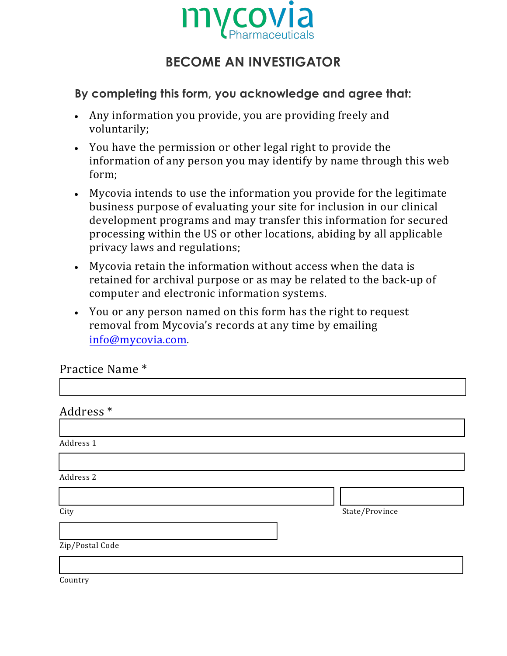

## **BECOME AN INVESTIGATOR**

## **By completing this form, you acknowledge and agree that:**

- Any information you provide, you are providing freely and voluntarily;
- You have the permission or other legal right to provide the information of any person you may identify by name through this web form;
- Mycovia intends to use the information you provide for the legitimate business purpose of evaluating your site for inclusion in our clinical development programs and may transfer this information for secured processing within the US or other locations, abiding by all applicable privacy laws and regulations;
- Mycovia retain the information without access when the data is retained for archival purpose or as may be related to the back-up of computer and electronic information systems.
- You or any person named on this form has the right to request removal from Mycovia's records at any time by emailing info@mycovia.com.

| Practice Name * |  |
|-----------------|--|
|-----------------|--|

| Address <sup>*</sup> |  |                |
|----------------------|--|----------------|
|                      |  |                |
| Address 1            |  |                |
|                      |  |                |
| Address 2            |  |                |
|                      |  |                |
| City                 |  | State/Province |
|                      |  |                |
| Zip/Postal Code      |  |                |
|                      |  |                |
|                      |  |                |

Country